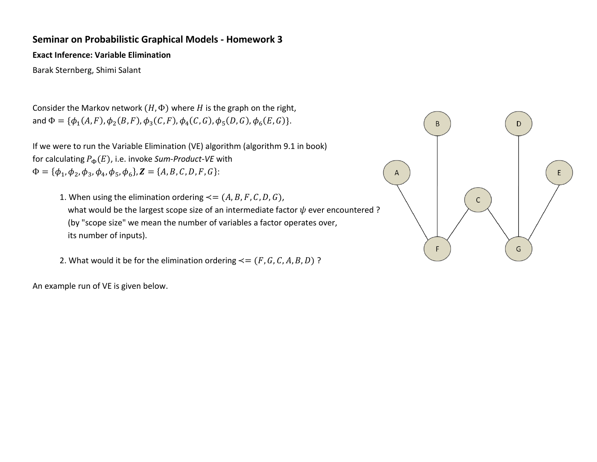### **Seminar on Probabilistic Graphical Models - Homework 3**

**Exact Inference: Variable Elimination** 

Barak Sternberg, Shimi Salant

Consider the Markov network  $(H, \Phi)$  where H is the graph on the right, and  $\Phi = \{\phi_1(A, F), \phi_2(B, F), \phi_3(C, F), \phi_4(C, G), \phi_5(D, G), \phi_6(E, G)\}.$ 

If we were to run the Variable Elimination (VE) algorithm (algorithm 9.1 in book) for calculating  $P_{\Phi}(E)$ , i.e. invoke *Sum-Product-VE* with  $\Phi = {\phi_1, \phi_2, \phi_3, \phi_4, \phi_5, \phi_6}, Z = {A, B, C, D, F, G}.$ 

1. When using the elimination ordering  $\leq$  =  $(A, B, F, C, D, G)$ , what would be the largest scope size of an intermediate factor  $\psi$  ever encountered ? (by "scope size" we mean the number of variables a factor operates over, its number of inputs).

2. What would it be for the elimination ordering  $\leq$  =  $(F, G, C, A, B, D)$  ?

An example run of VE is given below.

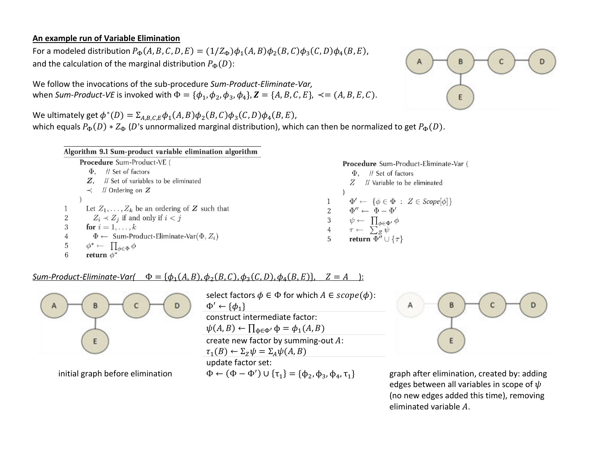#### **An example run of Variable Elimination**

For a modeled distribution  $P_{\Phi}(A, B, C, D, E) = (1/Z_{\Phi})\phi_1(A, B)\phi_2(B, C)\phi_3(C, D)\phi_4(B, E)$ , and the calculation of the marginal distribution  $P_{\Phi}(D)$ :

We follow the invocations of the sub-procedure *Sum-Product-Eliminate-Var,* when *Sum-Product-VE* is invoked with  $\Phi = {\phi_1, \phi_2, \phi_3, \phi_4}, Z = {A, B, C, E}, \prec = (A, B, E, C).$ 

We ultimately get  $\phi^*(D) = \sum_{A,B,C,E} \phi_1(A,B) \phi_2(B,C) \phi_3(C,D) \phi_4(B,E)$ , which equals  $P_{\Phi}(D) * Z_{\Phi}(D)$ 's unnormalized marginal distribution), which can then be normalized to get  $P_{\Phi}(D)$ .



E

Procedure Sum-Product-Eliminate-Var (  $\Phi$ , // Set of factors  $Z$  // Variable to be eliminated  $\Phi' \leftarrow \{\phi \in \Phi : Z \in \mathit{Scope}[\phi]\}$  $\Phi'' \leftarrow \Phi - \Phi'$  $\psi \leftarrow \prod_{\phi \in \Phi'} \phi$  $\tau \leftarrow \sum_{Z}^{\infty} \psi$ return  $\Phi'' \cup \{\tau\}$ 

 $Sum-Product-Eliminate-Var$   $\Phi = {\phi_1(A, B), \phi_2(B, C), \phi_3(C, D), \phi_4(B, E)}, \quad Z = A$ 



initial graph before elimination

select factors  $\phi \in \Phi$  for which  $A \in scope(\phi)$ :  $\Phi' \leftarrow {\phi_1}$ construct intermediate factor:  $\psi(A, B) \leftarrow \prod_{\phi \in \Phi'} \phi = \phi_1(A, B)$ create new factor by summing-out  $A$ :  $\tau_1(B) \leftarrow \Sigma_Z \psi = \Sigma_A \psi(A, B)$ update factor set:  $\Phi \leftarrow (\Phi - \Phi') \cup \{\tau_1\} = \{\phi_2, \phi_3, \phi_4, \tau_1\}$ 



graph after elimination, created by: adding edges between all variables in scope of  $\psi$ (no new edges added this time), removing eliminated variable  $A$ .